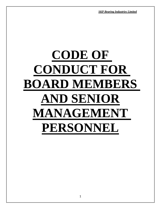*SKP Bearing Industries Limited*

# **CODE OF CONDUCT FOR BOARD MEMBERS AND SENIOR MANAGEMENT PERSONNEL**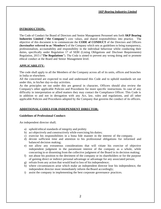# **INTRODUCTION:**

The Code of Conduct for Board of Directors and Senior Management Personnel sets forth **SKP Bearing Industries Limited** ("**the Company**") core values, and shared responsibilities into practice. The objective of this document is to communicate the **CODE of CONDUCT** of the Directors and Officers **(hereinafter referred to as 'Members')** of the Company which sets as guidelines to bring transparency, professionalism, accountability and responsibility in the individual behaviour whilst conducting their duties, specifically under Regulation 17 of SEBI (Listing Obligations and Discloser Requirements) Regulation, 2015 ("**The Regulations**"). The Code is aimed to prevent any wrong doing and to promote ethical conduct at the Board and Senior Management level.

# **APPLICABILITY:**

The code shall apply to all the Members of the Company across all of its units, offices and branches in India or elsewhere.

All the concerned are expected to read and understand this Code and to uphold standards set out under this, in his/her day-to-day activities.

As the principles set out under this are general in character, Officers should also review the Company's other applicable Policies and Procedures for more specific instructions. In case of any difficulty in interpretation or allied matters they may contact the Compliance Officer. This Code is in addition to and not in derogation with any Act, law, rules and regulations, and all other applicable Policies and Procedures adopted by the Company that governs the conduct of its officers.

# **ADDITIONAL CODES FOR INDEPENDENT DIRECTOR:**

## **Guidelines of Professional Conduct:**

An independent director shall;

- a) uphold ethical standards of integrity and probity
- b) act objectively and constructively while exercising his duties;
- c) exercise his responsibilities in a bona fide manner in the interest of the company.
- d) devote sufficient time and attention to his professional obligations for informed and balanced decision making;
- e) not allow any extraneous considerations that will vitiate his exercise of objective independent judgment in the paramount interest of the company as a whole, while concurring in or dissenting from the collective judgment of the Board in its decision making;
- f) not abuse his position to the detriment of the company or its shareholders or for the purpose of gaining direct or indirect personal advantage or advantage for any associated person;
- g) refrain from any action that would lead to loss of his independence;
- h) where circumstances arise which make an independent director lose his independence, the independent director must immediately inform the Board accordingly;
- i) assist the company in implementing the best corporate governance practices.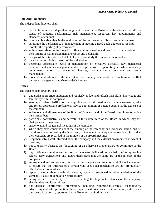# **Role And Functions:**

The independent directors shall;

- a) help in bringing an independent judgment to bear on the Board's deliberations especially on issues of strategy, performance, risk management, resources, key appointments and standards of conduct;
- b) bring an objective view in the evaluation of the performance of board and management;
- c) scrutinize the performance of management in meeting agreed goals and objectives and monitor the reporting of performance;
- d) satisfy themselves on the integrity of financial information and that financial controls and the systems of risk management are robust and defensible;
- e) safeguard the interests of all stakeholders, particularly the minority shareholders;
- f) balance the conflicting interest of the stakeholders;
- g) determine appropriate levels of remuneration of executive directors, key managerial personnel and senior management and have a prime role in appointing and where necessary recommend removal of executive directors, key managerial personnel and senior management;
- h) moderate and arbitrate in the interest of the company as a whole, in situations of conflict between management and shareholder's interest.

## **Duties:**

The independent directors shall;

- a) undertake appropriate induction and regularly update and refresh their skills, knowledge and familiarity with the company;
- b) seek appropriate clarification or amplification of information and, where necessary, take and follow appropriate professional advice and opinion of outside experts at the expense of the company;
- c) strive to attend all meetings of the Board of Directors and of the Board committees of which he is a member;
- d) participate constructively and actively in the committees of the Board in which they are chairpersons or members;
- e) strive to attend the general meetings of the company;
- f) where they have concerns about the running of the company or a proposed action, ensure that these are addressed by the Board and, to the extent that they are not resolved, insist that their concerns are recorded in the minutes of the Board meeting;
- g) keep themselves well informed about the company and the external environment in which it operates;
- h) not to unfairly obstruct the functioning of an otherwise proper Board or committee of the Board;
- i) pay sufficient attention and ensure that adequate deliberations are held before approving related party transactions and assure themselves that the same are in the interest of the company;
- j) ascertain and ensure that the company has an adequate and functional vigil mechanism and to ensure that the interests of a person who uses such mechanism are not prejudicially affected on account of such use;
- k) report concerns about unethical behavior, actual or suspected fraud or violation of the company's code of conduct or ethics policy;
- l) acting within his authority, assist in protecting the legitimate interests of the company, shareholders and its employees;
- m) not disclose confidential information, including commercial secrets, technologies, advertising and sales promotion plans, unpublished price sensitive information, unless such disclosure is expressly approved by the Board or required by law.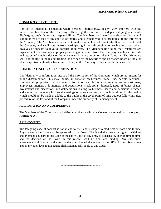## **CONFLICT OF INTEREST:**

Conflict of interest is a situation where personal interest may, in any, way, interfere with the interests or benefits of the Company influencing the exercise of independent judgment while discharging one's duties and responsibilities. The Members shall avoid any situation that would lead to or tend to lead to any conflict of interest and is considered to be prejudicial to the interest of the Company. The Members are expected to make a suitable disclosure to the Board of Directors of the Company and shall abstain from participating in any discussion for such transaction which involves or appears to involve conflict of interest. The Members (including their relatives) are expected not to derive any improper personal gain / benefit from the Company which shall include making or influencing decision by any means in any transaction of the Company. The Members shall not indulge in the insider trading (as defined by the Securities and Exchange Board of India or other respective authorities from time to time) in the Company's shares, products or services.

# **CONFIDENTIALITY OF INFORMATION:**

Confidentiality of information means all the information of the Company which are not meant for public dissemination. This may include information on business, trade, trade secrets, technical, commercial, proprietary or privileged information and information relating to its customers, employees, mergers / de-mergers and acquisitions, stock splits, dividend, issue of bonus shares, investments and discussions and deliberations relating to business issues and decisions, between and among its members in formal meetings or otherwise, and will include all such information which should not be made available to the public at the given point of time without following rules, procedure of the law and of the Company under the authority of its management.

## **AFFIRMATION AND COMPLIANCE:**

The Members of the Company shall affirm compliance with this Code on an annual basis, **(as per Annexure-A).**

## **AMENDMENT**

The foregoing code of conduct is not an end to itself and is subject to modification from time to time. Any change in the Code shall be approved by the Board. The Board shall have the right to withdraw and/or amend any part of this Code or the entire Code, at any time, as it deems fit, or from time to time, and the decision of the Board in this respect shall be final and binding. Any subsequent amendment/modification in the Act or the rules framed thereunder or the SEBI Listing Regulations and/or any other laws in this regard shall automatically apply to this Code.

\*\*\*\*\*\*\*\*\*\*\*\*\*\*\*\*\*\*\*\*\*\*\*